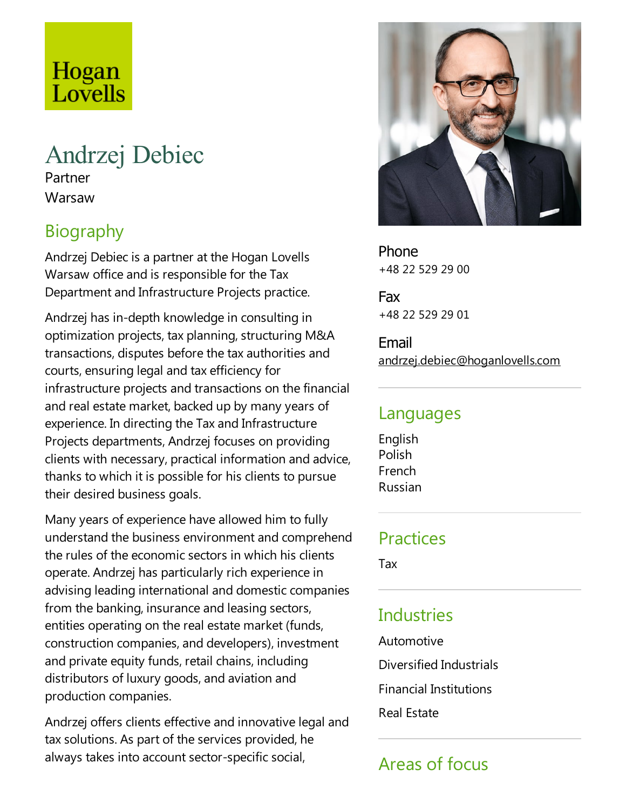# Hogan Lovells

# Andrzej Debiec

Partner **Warsaw** 

## Biography

Andrzej Debiec is a partner at the Hogan Lovells Warsaw office and is responsible for the Tax Department and Infrastructure Projects practice.

Andrzej has in-depth knowledge in consulting in optimization projects, tax planning, structuring M&A transactions, disputes before the tax authorities and courts, ensuring legal and tax efficiency for infrastructure projects and transactions on the financial and real estate market, backed up by many years of experience. In directing the Tax and Infrastructure Projects departments, Andrzej focuses on providing clients with necessary, practical information and advice, thanks to which it is possible for his clients to pursue their desired business goals.

Many years of experience have allowed him to fully understand the business environment and comprehend the rules of the economic sectors in which his clients operate. Andrzej has particularly rich experience in advising leading international and domestic companies from the banking, insurance and leasing sectors, entities operating on the real estate market (funds, construction companies, and developers), investment and private equity funds, retail chains, including distributors of luxury goods, and aviation and production companies.

Andrzej offers clients effective and innovative legal and tax solutions. As part of the services provided, he always takes into account sector-specific social,



Phone +48 22 529 29 00

Fax +48 22 529 29 01

Email andrzej.debiec@hoganlovells.com

#### Languages

English Polish French Russian

### Practices

Tax

## Industries

Automotive

Diversified Industrials

Financial Institutions

Real Estate

## Areas of focus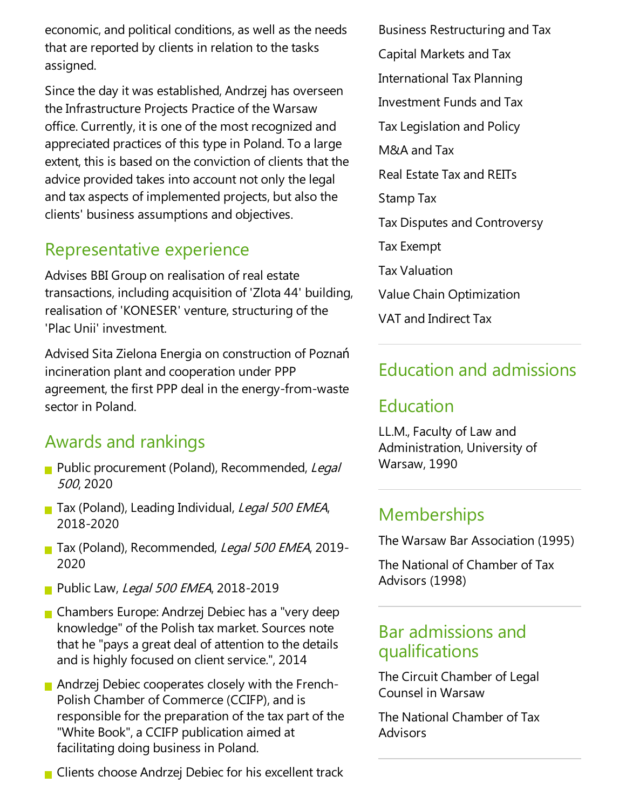economic, and political conditions, as well as the needs that are reported by clients in relation to the tasks assigned.

Since the day it was established, Andrzej has overseen the Infrastructure Projects Practice of the Warsaw office. Currently, it is one of the most recognized and appreciated practices of this type in Poland. To a large extent, this is based on the conviction of clients that the advice provided takes into account not only the legal and tax aspects of implemented projects, but also the clients' business assumptions and objectives.

## Representative experience

Advises BBI Group on realisation of real estate transactions, including acquisition of 'Zlota 44' building, realisation of 'KONESER' venture, structuring of the 'Plac Unii' investment.

Advised Sita Zielona Energia on construction of Poznań incineration plant and cooperation under PPP agreement, the first PPP deal in the energy-from-waste sector in Poland.

## Awards and rankings

- Public procurement (Poland), Recommended, Legal <sup>500</sup>, 2020
- Tax (Poland), Leading Individual, Legal 500 EMEA, 2018-2020
- Tax (Poland), Recommended, Legal 500 EMEA, 2019-2020
- **Public Law, Legal 500 EMEA, 2018-2019**
- **Chambers Europe: Andrzej Debiec has a "very deep"** knowledge" of the Polish tax market. Sources note that he "pays a great deal of attention to the details and is highly focused on client service.", 2014
- Andrzej Debiec cooperates closely with the French-Polish Chamber of Commerce (CCIFP), and is responsible for the preparation of the tax part of the "White Book", a CCIFP publication aimed at facilitating doing business in Poland.
- $\blacksquare$  Clients choose Andrzej Debiec for his excellent track

Business Restructuring and Tax Capital Markets and Tax International Tax Planning Investment Funds and Tax TaxLegislation and Policy M&A and Tax Real Estate Tax and REITs Stamp Tax Tax Disputes and Controversy Tax Exempt Tax Valuation Value Chain Optimization VAT and Indirect Tax

## Education and admissions

### **Education**

LL.M., Faculty of Law and Administration, University of Warsaw, 1990

### **Memberships**

The Warsaw Bar Association (1995)

The National of Chamber of Tax Advisors (1998)

### Bar admissions and qualifications

The Circuit Chamber of Legal Counsel in Warsaw

The National Chamber of Tax Advisors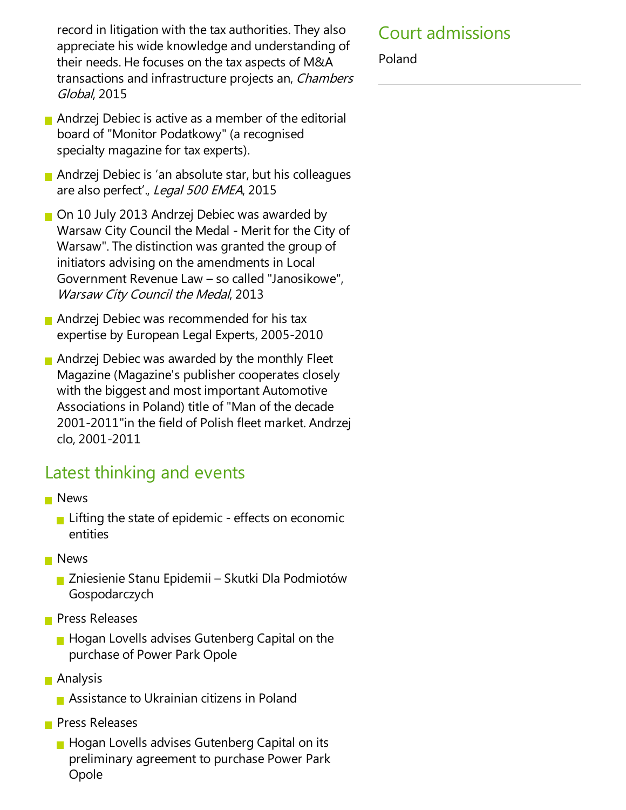record in litigation with the tax authorities. They also appreciate his wide knowledge and understanding of their needs. He focuses on the tax aspects of M&A transactions and infrastructure projects an, Chambers Global, 2015

- Andrzej Debiec is active as a member of the editorial board of "Monitor Podatkowy" (a recognised specialty magazine for tax experts).
- Andrzej Debiec is 'an absolute star, but his colleagues are also perfect'., Legal 500 EMEA, 2015
- On 10 July 2013 Andrzej Debiec was awarded by Warsaw City Council the Medal - Merit for the City of Warsaw".The distinction was granted the group of initiators advising on the amendments in Local Government Revenue Law - so called "Janosikowe", Warsaw City Council the Medal, 2013
- Andrzej Debiec was recommended for his tax expertise by European Legal Experts, 2005-2010
- **Andrzej Debiec was awarded by the monthly Fleet** Magazine(Magazine's publisher cooperates closely with the biggest and most important Automotive Associations in Poland) title of "Man of the decade 2001-2011" in the field of Polish fleet market. Andrzej clo, 2001-2011

### Latest thinking and events

- **News** 
	- **Lifting the state of epidemic effects on economic** entities
- **News** 
	- Zniesienie Stanu Epidemii Skutki Dla Podmiotów Gospodarczych
- **Press Releases** 
	- $\blacksquare$  Hogan Lovells advises Gutenberg Capital on the purchase of Power Park Opole
- **Analysis** 
	- **Assistance to Ukrainian citizens in Poland**
- **Press Releases** 
	- **Hogan Lovells advises Gutenberg Capital on its** preliminary agreement to purchase Power Park Opole

### Court admissions

Poland